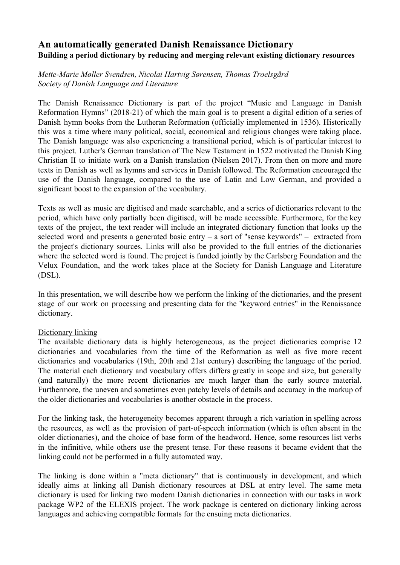# **An automatically generated Danish Renaissance Dictionary Building a period dictionary by reducing and merging relevant existing dictionary resources**

*Mette-Marie Møller Svendsen, Nicolai Hartvig Sørensen, Thomas Troelsgård Society of Danish Language and Literature*

The Danish Renaissance Dictionary is part of the project "Music and Language in Danish Reformation Hymns" (2018-21) of which the main goal is to present a digital edition of a series of Danish hymn books from the Lutheran Reformation (officially implemented in 1536). Historically this was a time where many political, social, economical and religious changes were taking place. The Danish language was also experiencing a transitional period, which is of particular interest to this project. Luther's German translation of The New Testament in 1522 motivated the Danish King Christian II to initiate work on a Danish translation (Nielsen 2017). From then on more and more texts in Danish as well as hymns and services in Danish followed. The Reformation encouraged the use of the Danish language, compared to the use of Latin and Low German, and provided a significant boost to the expansion of the vocabulary.

Texts as well as music are digitised and made searchable, and a series of dictionaries relevant to the period, which have only partially been digitised, will be made accessible. Furthermore, for the key texts of the project, the text reader will include an integrated dictionary function that looks up the selected word and presents a generated basic entry – a sort of "sense keywords" – extracted from the project's dictionary sources. Links will also be provided to the full entries of the dictionaries where the selected word is found. The project is funded jointly by the Carlsberg Foundation and the Velux Foundation, and the work takes place at the Society for Danish Language and Literature (DSL).

In this presentation, we will describe how we perform the linking of the dictionaries, and the present stage of our work on processing and presenting data for the "keyword entries" in the Renaissance dictionary.

#### Dictionary linking

The available dictionary data is highly heterogeneous, as the project dictionaries comprise 12 dictionaries and vocabularies from the time of the Reformation as well as five more recent dictionaries and vocabularies (19th, 20th and 21st century) describing the language of the period. The material each dictionary and vocabulary offers differs greatly in scope and size, but generally (and naturally) the more recent dictionaries are much larger than the early source material. Furthermore, the uneven and sometimes even patchy levels of details and accuracy in the markup of the older dictionaries and vocabularies is another obstacle in the process.

For the linking task, the heterogeneity becomes apparent through a rich variation in spelling across the resources, as well as the provision of part-of-speech information (which is often absent in the older dictionaries), and the choice of base form of the headword. Hence, some resources list verbs in the infinitive, while others use the present tense. For these reasons it became evident that the linking could not be performed in a fully automated way.

The linking is done within a "meta dictionary" that is continuously in development, and which ideally aims at linking all Danish dictionary resources at DSL at entry level. The same meta dictionary is used for linking two modern Danish dictionaries in connection with our tasks in work package WP2 of the ELEXIS project. The work package is centered on dictionary linking across languages and achieving compatible formats for the ensuing meta dictionaries.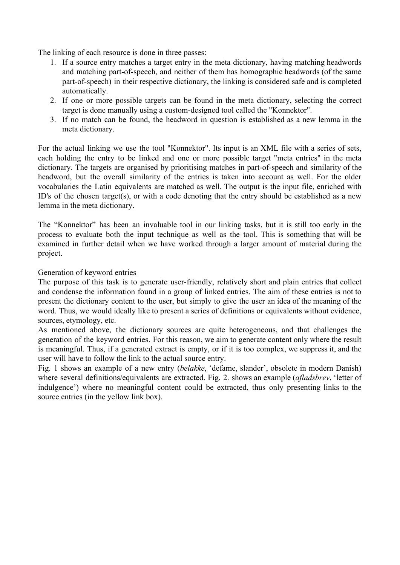The linking of each resource is done in three passes:

- 1. If a source entry matches a target entry in the meta dictionary, having matching headwords and matching part-of-speech, and neither of them has homographic headwords (of the same part-of-speech) in their respective dictionary, the linking is considered safe and is completed automatically.
- 2. If one or more possible targets can be found in the meta dictionary, selecting the correct target is done manually using a custom-designed tool called the "Konnektor".
- 3. If no match can be found, the headword in question is established as a new lemma in the meta dictionary.

For the actual linking we use the tool "Konnektor". Its input is an XML file with a series of sets, each holding the entry to be linked and one or more possible target "meta entries" in the meta dictionary. The targets are organised by prioritising matches in part-of-speech and similarity of the headword, but the overall similarity of the entries is taken into account as well. For the older vocabularies the Latin equivalents are matched as well. The output is the input file, enriched with ID's of the chosen target(s), or with a code denoting that the entry should be established as a new lemma in the meta dictionary.

The "Konnektor" has been an invaluable tool in our linking tasks, but it is still too early in the process to evaluate both the input technique as well as the tool. This is something that will be examined in further detail when we have worked through a larger amount of material during the project.

#### Generation of keyword entries

The purpose of this task is to generate user-friendly, relatively short and plain entries that collect and condense the information found in a group of linked entries. The aim of these entries is not to present the dictionary content to the user, but simply to give the user an idea of the meaning of the word. Thus, we would ideally like to present a series of definitions or equivalents without evidence, sources, etymology, etc.

As mentioned above, the dictionary sources are quite heterogeneous, and that challenges the generation of the keyword entries. For this reason, we aim to generate content only where the result is meaningful. Thus, if a generated extract is empty, or if it is too complex, we suppress it, and the user will have to follow the link to the actual source entry.

Fig. 1 shows an example of a new entry (*belakke*, 'defame, slander', obsolete in modern Danish) where several definitions/equivalents are extracted. Fig. 2. shows an example (*afladsbrev*, 'letter of indulgence') where no meaningful content could be extracted, thus only presenting links to the source entries (in the yellow link box).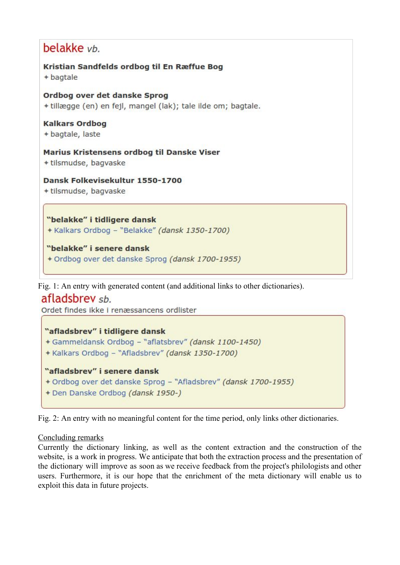# belakke vb.

```
Kristian Sandfelds ordbog til En Ræffue Bog
+ bagtale
```
#### Ordbog over det danske Sprog + tillægge (en) en fejl, mangel (lak); tale ilde om; bagtale.

**Kalkars Ordbog** 

+ bagtale, laste

Marius Kristensens ordbog til Danske Viser + tilsmudse, bagvaske

Dansk Folkevisekultur 1550-1700

+ tilsmudse, bagvaske

"belakke" i tidligere dansk + Kalkars Ordbog - "Belakke" (dansk 1350-1700)

"belakke" i senere dansk + Ordbog over det danske Sprog (dansk 1700-1955)

Fig. 1: An entry with generated content (and additional links to other dictionaries).

afladsbrey sh.

Ordet findes ikke i renæssancens ordlister

## "afladsbrev" i tidligere dansk

```
+ Gammeldansk Ordbog - "aflatsbrev" (dansk 1100-1450)
```
+ Kalkars Ordbog - "Afladsbrev" (dansk 1350-1700)

# "afladsbrev" i senere dansk

- + Ordbog over det danske Sprog "Afladsbrev" (dansk 1700-1955)
- + Den Danske Ordbog (dansk 1950-)

Fig. 2: An entry with no meaningful content for the time period, only links other dictionaries.

## Concluding remarks

Currently the dictionary linking, as well as the content extraction and the construction of the website, is a work in progress. We anticipate that both the extraction process and the presentation of the dictionary will improve as soon as we receive feedback from the project's philologists and other users. Furthermore, it is our hope that the enrichment of the meta dictionary will enable us to exploit this data in future projects.